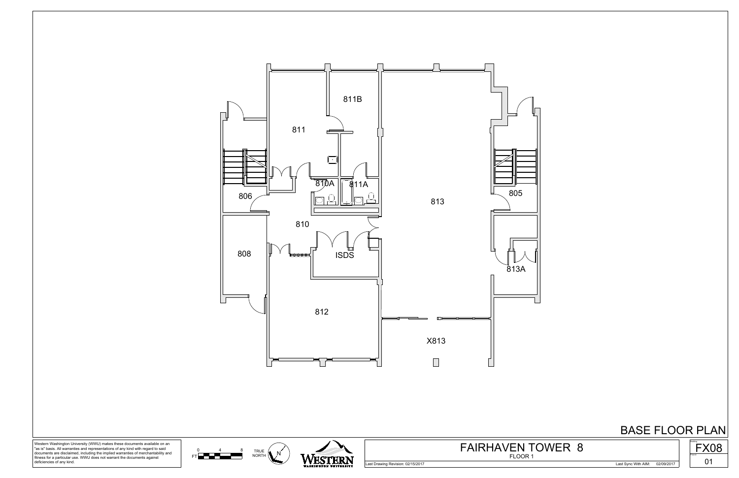





Western Washington University (WWU) makes these documents available on an "as is" basis. All warranties and representations of any kind with regard to said documents are disclaimed, including the implied warranties of merchantability and fitness for a particular use. WWU does not warrant the documents against deficiencies of any kind.



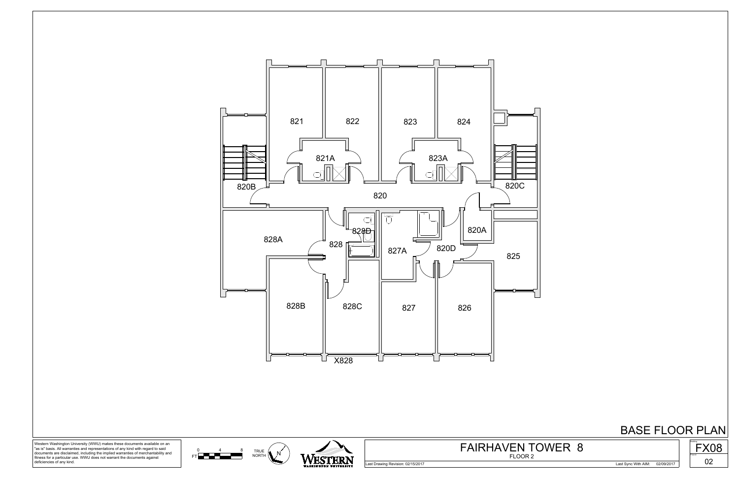





Western Washington University (WWU) makes these documents available on an "as is" basis. All warranties and representations of any kind with regard to said documents are disclaimed, including the implied warranties of merchantability and fitness for a particular use. WWU does not warrant the documents against deficiencies of any kind.



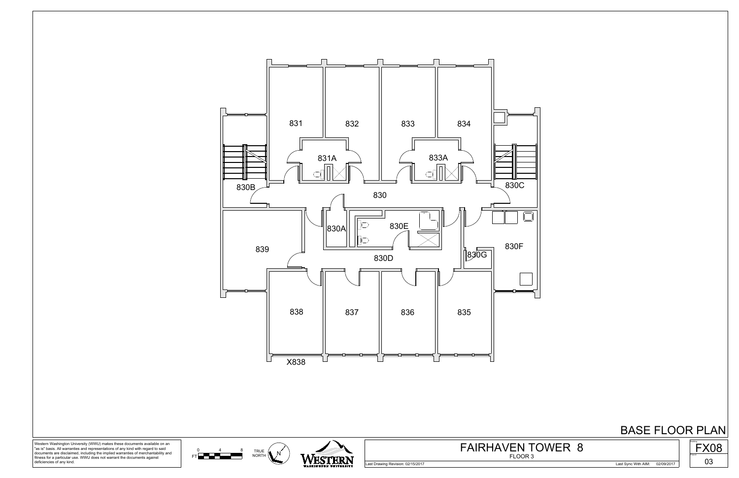





Western Washington University (WWU) makes these documents available on an "as is" basis. All warranties and representations of any kind with regard to said documents are disclaimed, including the implied warranties of merchantability and fitness for a particular use. WWU does not warrant the documents against deficiencies of any kind.